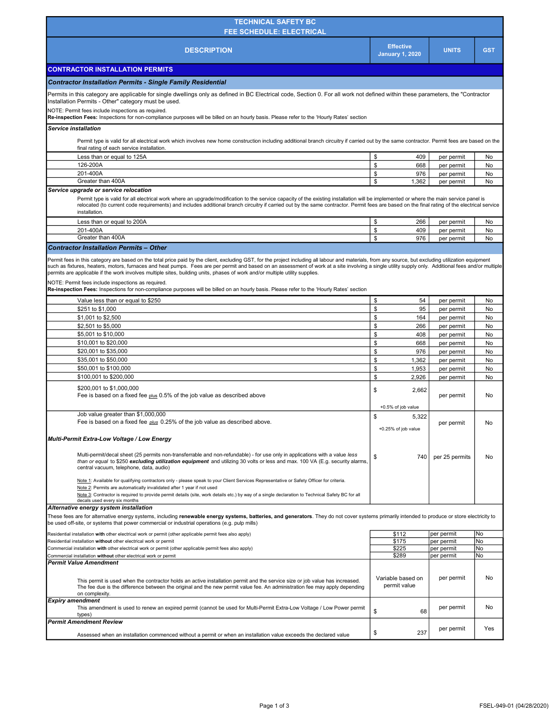| <b>TECHNICAL SAFETY BC</b><br><b>FEE SCHEDULE: ELECTRICAL</b>                                                                                                                                                                                                                                                                                                                                                                                                                                                                                                                                                                                                                                                                                    |                                            |                          |            |  |
|--------------------------------------------------------------------------------------------------------------------------------------------------------------------------------------------------------------------------------------------------------------------------------------------------------------------------------------------------------------------------------------------------------------------------------------------------------------------------------------------------------------------------------------------------------------------------------------------------------------------------------------------------------------------------------------------------------------------------------------------------|--------------------------------------------|--------------------------|------------|--|
| <b>DESCRIPTION</b>                                                                                                                                                                                                                                                                                                                                                                                                                                                                                                                                                                                                                                                                                                                               | <b>Effective</b><br><b>January 1, 2020</b> | <b>UNITS</b>             | <b>GST</b> |  |
| <b>CONTRACTOR INSTALLATION PERMITS</b>                                                                                                                                                                                                                                                                                                                                                                                                                                                                                                                                                                                                                                                                                                           |                                            |                          |            |  |
| <b>Contractor Installation Permits - Single Family Residential</b>                                                                                                                                                                                                                                                                                                                                                                                                                                                                                                                                                                                                                                                                               |                                            |                          |            |  |
| Permits in this category are applicable for single dwellings only as defined in BC Electrical code, Section 0. For all work not defined within these parameters, the "Contractor<br>Installation Permits - Other" category must be used.                                                                                                                                                                                                                                                                                                                                                                                                                                                                                                         |                                            |                          |            |  |
| NOTE: Permit fees include inspections as required.                                                                                                                                                                                                                                                                                                                                                                                                                                                                                                                                                                                                                                                                                               |                                            |                          |            |  |
| Re-inspection Fees: Inspections for non-compliance purposes will be billed on an hourly basis. Please refer to the 'Hourly Rates' section                                                                                                                                                                                                                                                                                                                                                                                                                                                                                                                                                                                                        |                                            |                          |            |  |
| <b>Service installation</b><br>Permit type is valid for all electrical work which involves new home construction including additional branch circuitry if carried out by the same contractor. Permit fees are based on the<br>final rating of each service installation.                                                                                                                                                                                                                                                                                                                                                                                                                                                                         |                                            |                          |            |  |
| Less than or equal to 125A                                                                                                                                                                                                                                                                                                                                                                                                                                                                                                                                                                                                                                                                                                                       | \$<br>409                                  | per permit               | No         |  |
| 126-200A                                                                                                                                                                                                                                                                                                                                                                                                                                                                                                                                                                                                                                                                                                                                         | \$<br>668                                  | per permit               | No         |  |
| 201-400A                                                                                                                                                                                                                                                                                                                                                                                                                                                                                                                                                                                                                                                                                                                                         | \$<br>976                                  | per permit               | No         |  |
| Greater than 400A                                                                                                                                                                                                                                                                                                                                                                                                                                                                                                                                                                                                                                                                                                                                | \$<br>1,362                                | per permit               | No         |  |
| Service upgrade or service relocation<br>Permit type is valid for all electrical work where an upgrade/modification to the service capacity of the existing installation will be implemented or where the main service panel is<br>relocated (to current code requirements) and includes additional branch circuitry if carried out by the same contractor. Permit fees are based on the final rating of the electrical service<br>installation.                                                                                                                                                                                                                                                                                                 |                                            |                          |            |  |
| Less than or equal to 200A                                                                                                                                                                                                                                                                                                                                                                                                                                                                                                                                                                                                                                                                                                                       | \$<br>266                                  | per permit               | No         |  |
| 201-400A<br>Greater than 400A                                                                                                                                                                                                                                                                                                                                                                                                                                                                                                                                                                                                                                                                                                                    | \$<br>409<br>\$<br>976                     | per permit<br>per permit | No<br>No   |  |
| <b>Contractor Installation Permits - Other</b>                                                                                                                                                                                                                                                                                                                                                                                                                                                                                                                                                                                                                                                                                                   |                                            |                          |            |  |
| Permit fees in this category are based on the total price paid by the client, excluding GST, for the project including all labour and materials, from any source, but excluding utilization equipment<br>such as fixtures, heaters, motors, furnaces and heat pumps. Fees are per permit and based on an assessment of work at a site involving a single utility supply only. Additional fees and/or multiple<br>permits are applicable if the work involves multiple sites, building units, phases of work and/or multiple utility supplies.<br>NOTE: Permit fees include inspections as required.<br>Re-inspection Fees: Inspections for non-compliance purposes will be billed on an hourly basis. Please refer to the 'Hourly Rates' section |                                            |                          |            |  |
| Value less than or equal to \$250                                                                                                                                                                                                                                                                                                                                                                                                                                                                                                                                                                                                                                                                                                                | \$<br>54                                   | per permit               | No         |  |
| \$251 to \$1,000<br>\$1,001 to \$2,500                                                                                                                                                                                                                                                                                                                                                                                                                                                                                                                                                                                                                                                                                                           | \$<br>95<br>\$<br>164                      | per permit               | No<br>No   |  |
| \$2,501 to \$5,000                                                                                                                                                                                                                                                                                                                                                                                                                                                                                                                                                                                                                                                                                                                               | \$<br>266                                  | per permit<br>per permit | No         |  |
| \$5,001 to \$10,000                                                                                                                                                                                                                                                                                                                                                                                                                                                                                                                                                                                                                                                                                                                              | \$<br>408                                  | per permit               | No         |  |
| \$10,001 to \$20,000                                                                                                                                                                                                                                                                                                                                                                                                                                                                                                                                                                                                                                                                                                                             | \$<br>668                                  | per permit               | No         |  |
| \$20,001 to \$35,000                                                                                                                                                                                                                                                                                                                                                                                                                                                                                                                                                                                                                                                                                                                             | \$<br>976                                  | per permit               | No         |  |
| \$35,001 to \$50,000                                                                                                                                                                                                                                                                                                                                                                                                                                                                                                                                                                                                                                                                                                                             | \$<br>1,362                                | per permit               | No         |  |
| \$50,001 to \$100,000                                                                                                                                                                                                                                                                                                                                                                                                                                                                                                                                                                                                                                                                                                                            | \$<br>1,953                                | per permit               | No         |  |
| \$100,001 to \$200,000                                                                                                                                                                                                                                                                                                                                                                                                                                                                                                                                                                                                                                                                                                                           | \$<br>2,926                                | per permit               | No         |  |
| \$200,001 to \$1,000,000<br>Fee is based on a fixed fee plus 0.5% of the job value as described above                                                                                                                                                                                                                                                                                                                                                                                                                                                                                                                                                                                                                                            | \$<br>2,662<br>+0.5% of job value          | per permit               | No         |  |
| Job value greater than \$1,000,000<br>Fee is based on a fixed fee <i>plus</i> 0.25% of the job value as described above.                                                                                                                                                                                                                                                                                                                                                                                                                                                                                                                                                                                                                         | 5,322<br>\$<br>+0.25% of job value         | per permit               | No         |  |
| Multi-Permit Extra-Low Voltage / Low Energy                                                                                                                                                                                                                                                                                                                                                                                                                                                                                                                                                                                                                                                                                                      |                                            |                          |            |  |
| Multi-permit/decal sheet (25 permits non-transferrable and non-refundable) - for use only in applications with a value less<br>than or equal to \$250 excluding utilization equipment and utilizing 30 volts or less and max. 100 VA (E.g. security alarms,<br>central vacuum, telephone, data, audio)                                                                                                                                                                                                                                                                                                                                                                                                                                           | \$<br>740                                  | per 25 permits           | No         |  |
| Note 1: Available for qualifying contractors only - please speak to your Client Services Representative or Safety Officer for criteria.<br>Note 2: Permits are automatically invalidated after 1 year if not used<br>Note 3: Contractor is required to provide permit details (site, work details etc.) by way of a single declaration to Technical Safety BC for all<br>decals used every six months                                                                                                                                                                                                                                                                                                                                            |                                            |                          |            |  |
| Alternative energy system installation<br>These fees are for alternative energy systems, including renewable energy systems, batteries, and generators. They do not cover systems primarily intended to produce or store electricity to<br>be used off-site, or systems that power commercial or industrial operations (e.g. pulp mills)                                                                                                                                                                                                                                                                                                                                                                                                         |                                            |                          |            |  |
| Residential installation with other electrical work or permit (other applicable permit fees also apply)                                                                                                                                                                                                                                                                                                                                                                                                                                                                                                                                                                                                                                          | \$112                                      | per permit               | No         |  |
| Residential installation without other electrical work or permit<br>Commercial installation with other electrical work or permit (other applicable permit fees also apply)                                                                                                                                                                                                                                                                                                                                                                                                                                                                                                                                                                       | \$175<br>\$225                             | per permit<br>per permit | No<br>No   |  |
| Commercial installation without other electrical work or permit                                                                                                                                                                                                                                                                                                                                                                                                                                                                                                                                                                                                                                                                                  | \$289                                      | per permit               | No         |  |
| <b>Permit Value Amendment</b><br>This permit is used when the contractor holds an active installation permit and the service size or job value has increased.<br>The fee due is the difference between the original and the new permit value fee. An administration fee may apply depending<br>on complexity.                                                                                                                                                                                                                                                                                                                                                                                                                                    | Variable based on<br>permit value          | per permit               | No         |  |
| Expiry amendment<br>This amendment is used to renew an expired permit (cannot be used for Multi-Permit Extra-Low Voltage / Low Power permit<br>types)                                                                                                                                                                                                                                                                                                                                                                                                                                                                                                                                                                                            | \$<br>68                                   | per permit               | No         |  |
| Permit Amendment Review<br>Assessed when an installation commenced without a permit or when an installation value exceeds the declared value                                                                                                                                                                                                                                                                                                                                                                                                                                                                                                                                                                                                     | \$<br>237                                  | per permit               | Yes        |  |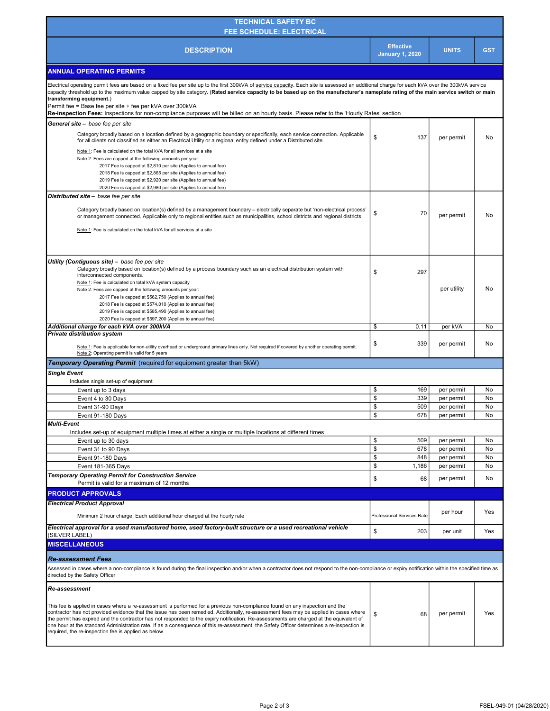| <b>TECHNICAL SAFETY BC</b> '<br><b>FEE SCHEDULE: ELECTRICAL</b> |                                            |              |            |
|-----------------------------------------------------------------|--------------------------------------------|--------------|------------|
| <b>DESCRIPTION</b>                                              | <b>Effective</b><br><b>January 1, 2020</b> | <b>UNITS</b> | <b>GST</b> |
| <b>ANNUAL OPERATING PERMITS</b>                                 |                                            |              |            |

| Electrical operating permit fees are based on a fixed fee per site up to the first 300kVA of service capacity. Each site is assessed an additional charge for each kVA over the 300kVA service<br>capacity threshold up to the maximum value capped by site category. (Rated service capacity to be based up on the manufacturer's nameplate rating of the main service switch or main<br>transforming equipment.)<br>Permit fee = Base fee per site + fee per kVA over 300kVA |                            |             |          |
|--------------------------------------------------------------------------------------------------------------------------------------------------------------------------------------------------------------------------------------------------------------------------------------------------------------------------------------------------------------------------------------------------------------------------------------------------------------------------------|----------------------------|-------------|----------|
| Re-inspection Fees: Inspections for non-compliance purposes will be billed on an hourly basis. Please refer to the 'Hourly Rates' section                                                                                                                                                                                                                                                                                                                                      |                            |             |          |
| General site - base fee per site                                                                                                                                                                                                                                                                                                                                                                                                                                               |                            |             |          |
| Category broadly based on a location defined by a geographic boundary or specifically, each service connection. Applicable<br>for all clients not classified as either an Electrical Utility or a regional entity defined under a Distributed site.                                                                                                                                                                                                                            | \$<br>137                  | per permit  | No       |
| Note 1: Fee is calculated on the total kVA for all services at a site                                                                                                                                                                                                                                                                                                                                                                                                          |                            |             |          |
| Note 2: Fees are capped at the following amounts per year:                                                                                                                                                                                                                                                                                                                                                                                                                     |                            |             |          |
| 2017 Fee is capped at \$2,810 per site (Applies to annual fee)                                                                                                                                                                                                                                                                                                                                                                                                                 |                            |             |          |
| 2018 Fee is capped at \$2,865 per site (Applies to annual fee)<br>2019 Fee is capped at \$2,920 per site (Applies to annual fee)                                                                                                                                                                                                                                                                                                                                               |                            |             |          |
| 2020 Fee is capped at \$2,980 per site (Applies to annual fee)                                                                                                                                                                                                                                                                                                                                                                                                                 |                            |             |          |
| Distributed site - base fee per site                                                                                                                                                                                                                                                                                                                                                                                                                                           |                            |             |          |
|                                                                                                                                                                                                                                                                                                                                                                                                                                                                                |                            |             |          |
| Category broadly based on location(s) defined by a management boundary - electrically separate but 'non-electrical process'<br>or management connected. Applicable only to regional entities such as municipalities, school districts and regional districts.                                                                                                                                                                                                                  | \$<br>70                   | per permit  | No       |
| Note 1: Fee is calculated on the total kVA for all services at a site                                                                                                                                                                                                                                                                                                                                                                                                          |                            |             |          |
|                                                                                                                                                                                                                                                                                                                                                                                                                                                                                |                            |             |          |
| Utility (Contiquous site) - base fee per site                                                                                                                                                                                                                                                                                                                                                                                                                                  |                            |             |          |
| Category broadly based on location(s) defined by a process boundary such as an electrical distribution system with<br>interconnected components.                                                                                                                                                                                                                                                                                                                               | \$<br>297                  |             |          |
| Note 1: Fee is calculated on total kVA system capacity                                                                                                                                                                                                                                                                                                                                                                                                                         |                            |             |          |
| Note 2: Fees are capped at the following amounts per year:                                                                                                                                                                                                                                                                                                                                                                                                                     |                            | per utility | No       |
| 2017 Fee is capped at \$562,750 (Applies to annual fee)                                                                                                                                                                                                                                                                                                                                                                                                                        |                            |             |          |
| 2018 Fee is capped at \$574,010 (Applies to annual fee)                                                                                                                                                                                                                                                                                                                                                                                                                        |                            |             |          |
| 2019 Fee is capped at \$585,490 (Applies to annual fee)                                                                                                                                                                                                                                                                                                                                                                                                                        |                            |             |          |
| 2020 Fee is capped at \$597,200 (Applies to annual fee)                                                                                                                                                                                                                                                                                                                                                                                                                        |                            |             |          |
| Additional charge for each kVA over 300kVA<br><b>Private distribution system</b>                                                                                                                                                                                                                                                                                                                                                                                               | \$<br>0.11                 | per kVA     | No       |
| Note 1: Fee is applicable for non-utility overhead or underground primary lines only. Not required if covered by another operating permit.                                                                                                                                                                                                                                                                                                                                     | 339<br>\$                  | per permit  | No       |
| Note 2: Operating permit is valid for 5 years                                                                                                                                                                                                                                                                                                                                                                                                                                  |                            |             |          |
| <b>Temporary Operating Permit</b> (required for equipment greater than 5kW)                                                                                                                                                                                                                                                                                                                                                                                                    |                            |             |          |
| <b>Single Event</b>                                                                                                                                                                                                                                                                                                                                                                                                                                                            |                            |             |          |
|                                                                                                                                                                                                                                                                                                                                                                                                                                                                                |                            |             |          |
| Includes single set-up of equipment                                                                                                                                                                                                                                                                                                                                                                                                                                            |                            |             |          |
| Event up to 3 days                                                                                                                                                                                                                                                                                                                                                                                                                                                             | \$<br>169                  | per permit  | No       |
| Event 4 to 30 Days                                                                                                                                                                                                                                                                                                                                                                                                                                                             | \$<br>339                  | per permit  | No       |
| Event 31-90 Days                                                                                                                                                                                                                                                                                                                                                                                                                                                               | \$<br>509                  | per permit  | No       |
| Event 91-180 Days                                                                                                                                                                                                                                                                                                                                                                                                                                                              | \$<br>678                  | per permit  | No       |
| <b>Multi-Event</b>                                                                                                                                                                                                                                                                                                                                                                                                                                                             |                            |             |          |
| Includes set-up of equipment multiple times at either a single or multiple locations at different times                                                                                                                                                                                                                                                                                                                                                                        |                            |             |          |
| Event up to 30 days                                                                                                                                                                                                                                                                                                                                                                                                                                                            | \$<br>509                  | per permit  | No<br>No |
| Event 31 to 90 Days                                                                                                                                                                                                                                                                                                                                                                                                                                                            | \$<br>678                  | per permit  |          |
| Event 91-180 Days                                                                                                                                                                                                                                                                                                                                                                                                                                                              | \$<br>848                  | per permit  | No       |
| Event 181-365 Days                                                                                                                                                                                                                                                                                                                                                                                                                                                             | \$<br>1,186                | per permit  | No       |
| <b>Temporary Operating Permit for Construction Service</b>                                                                                                                                                                                                                                                                                                                                                                                                                     | \$<br>68                   | per permit  | No       |
| Permit is valid for a maximum of 12 months                                                                                                                                                                                                                                                                                                                                                                                                                                     |                            |             |          |
| <b>PRODUCT APPROVALS</b>                                                                                                                                                                                                                                                                                                                                                                                                                                                       |                            |             |          |
| <b>Electrical Product Approval</b>                                                                                                                                                                                                                                                                                                                                                                                                                                             |                            |             |          |
| Minimum 2 hour charge. Each additional hour charged at the hourly rate                                                                                                                                                                                                                                                                                                                                                                                                         | Professional Services Rate | per hour    | Yes      |
| Electrical approval for a used manufactured home, used factory-built structure or a used recreational vehicle<br>(SILVER LABEL)                                                                                                                                                                                                                                                                                                                                                | \$<br>203                  | per unit    | Yes      |
| <b>MISCELLANEOUS</b>                                                                                                                                                                                                                                                                                                                                                                                                                                                           |                            |             |          |
|                                                                                                                                                                                                                                                                                                                                                                                                                                                                                |                            |             |          |
| <b>Re-assessment Fees</b><br>Assessed in cases where a non-compliance is found during the final inspection and/or when a contractor does not respond to the non-compliance or expiry notification within the specified time as<br>directed by the Safety Officer                                                                                                                                                                                                               |                            |             |          |
| <b>Re-assessment</b>                                                                                                                                                                                                                                                                                                                                                                                                                                                           |                            |             |          |